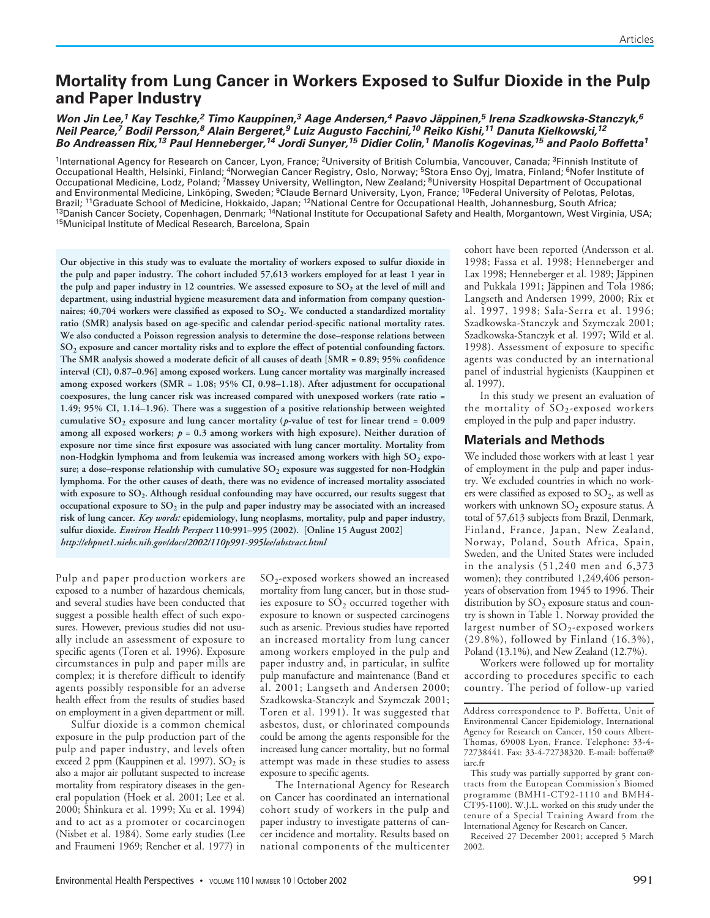# **Mortality from Lung Cancer in Workers Exposed to Sulfur Dioxide in the Pulp and Paper Industry**

*Won Jin Lee,1 Kay Teschke,2 Timo Kauppinen,<sup>3</sup> Aage Andersen,4 Paavo Jäppinen,5 Irena Szadkowska-Stanczyk,<sup>6</sup> Neil Pearce,7 Bodil Persson,8 Alain Bergeret,9 Luiz Augusto Facchini,10 Reiko Kishi,11 Danuta Kielkowski,12 Bo Andreassen Rix,13 Paul Henneberger,14 Jordi Sunyer,15 Didier Colin,<sup>1</sup> Manolis Kogevinas,15 and Paolo Boffetta1*

<sup>1</sup>International Agency for Research on Cancer, Lyon, France; <sup>2</sup>University of British Columbia, Vancouver, Canada; <sup>3</sup>Finnish Institute of Occupational Health, Helsinki, Finland; <sup>4</sup>Norwegian Cancer Registry, Oslo, Norway; <sup>5</sup>Stora Enso Oyj, Imatra, Finland; <sup>6</sup>Nofer Institute of Occupational Medicine, Lodz, Poland; 7Massey University, Wellington, New Zealand; 8University Hospital Department of Occupational and Environmental Medicine, Linköping, Sweden; <sup>9</sup>Claude Bernard University, Lyon, France; <sup>10</sup>Federal University of Pelotas, Pelotas, Brazil; <sup>11</sup>Graduate School of Medicine, Hokkaido, Japan; <sup>12</sup>National Centre for Occupational Health, Johannesburg, South Africa; <sup>13</sup>Danish Cancer Society, Copenhagen, Denmark; <sup>14</sup>National Institute for Occupational Safety and Health, Morgantown, West Virginia, USA; 15Municipal Institute of Medical Research, Barcelona, Spain

**Our objective in this study was to evaluate the mortality of workers exposed to sulfur dioxide in the pulp and paper industry. The cohort included 57,613 workers employed for at least 1 year in the pulp and paper industry in 12 countries. We assessed exposure to SO2 at the level of mill and department, using industrial hygiene measurement data and information from company question**naires; 40,704 workers were classified as exposed to SO<sub>2</sub>. We conducted a standardized mortality **ratio (SMR) analysis based on age-specific and calendar period-specific national mortality rates. We also conducted a Poisson regression analysis to determine the dose–response relations between SO2 exposure and cancer mortality risks and to explore the effect of potential confounding factors. The SMR analysis showed a moderate deficit of all causes of death [SMR = 0.89; 95% confidence interval (CI), 0.87–0.96] among exposed workers. Lung cancer mortality was marginally increased among exposed workers (SMR = 1.08; 95% CI, 0.98–1.18). After adjustment for occupational coexposures, the lung cancer risk was increased compared with unexposed workers (rate ratio = 1.49; 95% CI, 1.14–1.96). There was a suggestion of a positive relationship between weighted** cumulative  $SO_2$  exposure and lung cancer mortality ( $p$ -value of test for linear trend =  $0.009$ among all exposed workers;  $p = 0.3$  among workers with high exposure). Neither duration of **exposure nor time since first exposure was associated with lung cancer mortality. Mortality from** non-Hodgkin lymphoma and from leukemia was increased among workers with high SO<sub>2</sub> exposure; a dose–response relationship with cumulative SO<sub>2</sub> exposure was suggested for non-Hodgkin **lymphoma. For the other causes of death, there was no evidence of increased mortality associated** with exposure to SO<sub>2</sub>. Although residual confounding may have occurred, our results suggest that **occupational exposure to SO2 in the pulp and paper industry may be associated with an increased risk of lung cancer.** *Key words:* **epidemiology, lung neoplasms, mortality, pulp and paper industry, sulfur dioxide.** *Environ Health Perspect* **110:991–995 (2002). [Online 15 August 2002]** *http://ehpnet1.niehs.nih.gov/docs/2002/110p991-995lee/abstract.html*

Pulp and paper production workers are exposed to a number of hazardous chemicals, and several studies have been conducted that suggest a possible health effect of such exposures. However, previous studies did not usually include an assessment of exposure to specific agents (Toren et al. 1996). Exposure circumstances in pulp and paper mills are complex; it is therefore difficult to identify agents possibly responsible for an adverse health effect from the results of studies based on employment in a given department or mill.

Sulfur dioxide is a common chemical exposure in the pulp production part of the pulp and paper industry, and levels often exceed 2 ppm (Kauppinen et al. 1997).  $SO_2$  is also a major air pollutant suspected to increase mortality from respiratory diseases in the general population (Hoek et al. 2001; Lee et al. 2000; Shinkura et al. 1999; Xu et al. 1994) and to act as a promoter or cocarcinogen (Nisbet et al. 1984). Some early studies (Lee and Fraumeni 1969; Rencher et al. 1977) in  $SO_2$ -exposed workers showed an increased mortality from lung cancer, but in those studies exposure to  $SO<sub>2</sub>$  occurred together with exposure to known or suspected carcinogens such as arsenic. Previous studies have reported an increased mortality from lung cancer among workers employed in the pulp and paper industry and, in particular, in sulfite pulp manufacture and maintenance (Band et al. 2001; Langseth and Andersen 2000; Szadkowska-Stanczyk and Szymczak 2001; Toren et al. 1991). It was suggested that asbestos, dust, or chlorinated compounds could be among the agents responsible for the increased lung cancer mortality, but no formal attempt was made in these studies to assess exposure to specific agents.

The International Agency for Research on Cancer has coordinated an international cohort study of workers in the pulp and paper industry to investigate patterns of cancer incidence and mortality. Results based on national components of the multicenter cohort have been reported (Andersson et al. 1998; Fassa et al. 1998; Henneberger and Lax 1998; Henneberger et al. 1989; Jäppinen and Pukkala 1991; Jäppinen and Tola 1986; Langseth and Andersen 1999, 2000; Rix et al. 1997, 1998; Sala-Serra et al. 1996; Szadkowska-Stanczyk and Szymczak 2001; Szadkowska-Stanczyk et al. 1997; Wild et al. 1998). Assessment of exposure to specific agents was conducted by an international panel of industrial hygienists (Kauppinen et al. 1997).

In this study we present an evaluation of the mortality of  $SO_2$ -exposed workers employed in the pulp and paper industry.

## **Materials and Methods**

We included those workers with at least 1 year of employment in the pulp and paper industry. We excluded countries in which no workers were classified as exposed to  $SO<sub>2</sub>$ , as well as workers with unknown  $SO<sub>2</sub>$  exposure status. A total of 57,613 subjects from Brazil, Denmark, Finland, France, Japan, New Zealand, Norway, Poland, South Africa, Spain, Sweden, and the United States were included in the analysis (51,240 men and 6,373 women); they contributed 1,249,406 personyears of observation from 1945 to 1996. Their distribution by  $SO<sub>2</sub>$  exposure status and country is shown in Table 1. Norway provided the largest number of  $SO_2$ -exposed workers (29.8%), followed by Finland (16.3%), Poland (13.1%), and New Zealand (12.7%).

Workers were followed up for mortality according to procedures specific to each country. The period of follow-up varied

Address correspondence to P. Boffetta, Unit of Environmental Cancer Epidemiology, International Agency for Research on Cancer, 150 cours Albert-Thomas, 69008 Lyon, France. Telephone: 33-4- 72738441. Fax: 33-4-72738320. E-mail: boffetta@ iarc.fr

This study was partially supported by grant contracts from the European Commission's Biomed programme (BMH1-CT92-1110 and BMH4- CT95-1100). W.J.L. worked on this study under the tenure of a Special Training Award from the International Agency for Research on Cancer.

Received 27 December 2001; accepted 5 March 2002.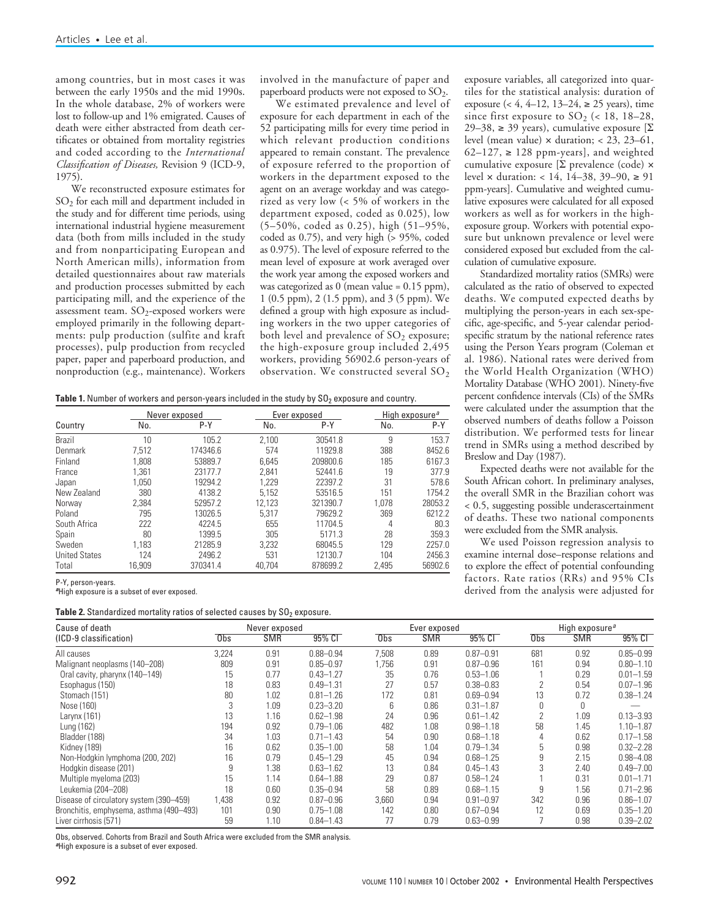among countries, but in most cases it was between the early 1950s and the mid 1990s. In the whole database, 2% of workers were lost to follow-up and 1% emigrated. Causes of death were either abstracted from death certificates or obtained from mortality registries and coded according to the *International Classification of Diseases,* Revision 9 (ICD-9, 1975).

We reconstructed exposure estimates for  $SO<sub>2</sub>$  for each mill and department included in the study and for different time periods, using international industrial hygiene measurement data (both from mills included in the study and from nonparticipating European and North American mills), information from detailed questionnaires about raw materials and production processes submitted by each participating mill, and the experience of the assessment team.  $SO_2$ -exposed workers were employed primarily in the following departments: pulp production (sulfite and kraft processes), pulp production from recycled paper, paper and paperboard production, and nonproduction (e.g., maintenance). Workers involved in the manufacture of paper and paperboard products were not exposed to  $SO<sub>2</sub>$ .

We estimated prevalence and level of exposure for each department in each of the 52 participating mills for every time period in which relevant production conditions appeared to remain constant. The prevalence of exposure referred to the proportion of workers in the department exposed to the agent on an average workday and was categorized as very low (< 5% of workers in the department exposed, coded as 0.025), low (5–50%, coded as 0.25), high (51–95%, coded as 0.75), and very high (> 95%, coded as 0.975). The level of exposure referred to the mean level of exposure at work averaged over the work year among the exposed workers and was categorized as 0 (mean value = 0.15 ppm), 1 (0.5 ppm), 2 (1.5 ppm), and 3 (5 ppm). We defined a group with high exposure as including workers in the two upper categories of both level and prevalence of  $SO<sub>2</sub>$  exposure; the high-exposure group included 2,495 workers, providing 56902.6 person-years of observation. We constructed several  $SO<sub>2</sub>$ 

Table 1. Number of workers and person-years included in the study by SO<sub>2</sub> exposure and country.

|                      |        | Never exposed |        | Ever exposed | High exposure <sup>a</sup> |         |
|----------------------|--------|---------------|--------|--------------|----------------------------|---------|
| Country              | No.    | $P - Y$       | No.    | $P - Y$      | No.                        | P-Y     |
| Brazil               | 10     | 105.2         | 2.100  | 30541.8      | 9                          | 153.7   |
| <b>Denmark</b>       | 7.512  | 174346.6      | 574    | 11929.8      | 388                        | 8452.6  |
| Finland              | 1.808  | 53889.7       | 6.645  | 209800.6     | 185                        | 6167.3  |
| France               | 1.361  | 23177.7       | 2.841  | 52441.6      | 19                         | 377.9   |
| Japan                | 1.050  | 19294.2       | 1.229  | 22397.2      | 31                         | 578.6   |
| New Zealand          | 380    | 4138.2        | 5.152  | 53516.5      | 151                        | 1754.2  |
| Norway               | 2.384  | 52957.2       | 12.123 | 321390.7     | 1.078                      | 28053.2 |
| Poland               | 795    | 13026.5       | 5.317  | 79629.2      | 369                        | 6212.2  |
| South Africa         | 222    | 4224.5        | 655    | 11704.5      | 4                          | 80.3    |
| Spain                | 80     | 1399.5        | 305    | 5171.3       | 28                         | 359.3   |
| Sweden               | 1.183  | 21285.9       | 3.232  | 68045.5      | 129                        | 2257.0  |
| <b>United States</b> | 124    | 2496.2        | 531    | 12130.7      | 104                        | 2456.3  |
| Total                | 16.909 | 370341.4      | 40.704 | 878699.2     | 2.495                      | 56902.6 |

P-Y, person-years.

*<sup>a</sup>*High exposure is a subset of ever exposed.

Table 2. Standardized mortality ratios of selected causes by SO<sub>2</sub> exposure.

exposure variables, all categorized into quartiles for the statistical analysis: duration of exposure  $(< 4, 4-12, 13-24, \geq 25$  years), time since first exposure to  $SO_2$  (< 18, 18–28, 29–38, ≥ 39 years), cumulative exposure  $[Σ$ level (mean value)  $\times$  duration;  $<$  23, 23–61,  $62-127$ ,  $\geq 128$  ppm-years], and weighted cumulative exposure [Σ prevalence (code) × level × duration: < 14, 14–38, 39–90, ≥ 91 ppm-years]. Cumulative and weighted cumulative exposures were calculated for all exposed workers as well as for workers in the highexposure group. Workers with potential exposure but unknown prevalence or level were considered exposed but excluded from the calculation of cumulative exposure.

Standardized mortality ratios (SMRs) were calculated as the ratio of observed to expected deaths. We computed expected deaths by multiplying the person-years in each sex-specific, age-specific, and 5-year calendar periodspecific stratum by the national reference rates using the Person Years program (Coleman et al. 1986). National rates were derived from the World Health Organization (WHO) Mortality Database (WHO 2001). Ninety-five percent confidence intervals (CIs) of the SMRs were calculated under the assumption that the observed numbers of deaths follow a Poisson distribution. We performed tests for linear trend in SMRs using a method described by Breslow and Day (1987).

Expected deaths were not available for the South African cohort. In preliminary analyses, the overall SMR in the Brazilian cohort was < 0.5, suggesting possible underascertainment of deaths. These two national components were excluded from the SMR analysis.

We used Poisson regression analysis to examine internal dose–response relations and to explore the effect of potential confounding factors. Rate ratios (RRs) and 95% CIs derived from the analysis were adjusted for

| Cause of death                          |       | Never exposed |               |       | Ever exposed |               | High exposure <sup>a</sup> |            |               |
|-----------------------------------------|-------|---------------|---------------|-------|--------------|---------------|----------------------------|------------|---------------|
| (ICD-9 classification)                  | Obs   | <b>SMR</b>    | 95% CI        | Obs   | <b>SMR</b>   | 95% CI        | <b>Obs</b>                 | <b>SMR</b> | 95% CI        |
| All causes                              | 3,224 | 0.91          | $0.88 - 0.94$ | 7,508 | 0.89         | $0.87 - 0.91$ | 681                        | 0.92       | $0.85 - 0.99$ |
| Malignant neoplasms (140-208)           | 809   | 0.91          | $0.85 - 0.97$ | 1.756 | 0.91         | $0.87 - 0.96$ | 161                        | 0.94       | $0.80 - 1.10$ |
| Oral cavity, pharynx (140-149)          | 15    | 0.77          | $0.43 - 1.27$ | 35    | 0.76         | $0.53 - 1.06$ |                            | 0.29       | $0.01 - 1.59$ |
| Esophagus (150)                         | 18    | 0.83          | $0.49 - 1.31$ | 27    | 0.57         | $0.38 - 0.83$ |                            | 0.54       | $0.07 - 1.96$ |
| Stomach (151)                           | 80    | 1.02          | $0.81 - 1.26$ | 172   | 0.81         | $0.69 - 0.94$ | 13                         | 0.72       | $0.38 - 1.24$ |
| Nose (160)                              |       | 1.09          | $0.23 - 3.20$ | 6     | 0.86         | $0.31 - 1.87$ | $\Omega$                   |            |               |
| Larynx $(161)$                          | 13    | 1.16          | $0.62 - 1.98$ | 24    | 0.96         | $0.61 - 1.42$ |                            | 1.09       | $0.13 - 3.93$ |
| Lung (162)                              | 194   | 0.92          | $0.79 - 1.06$ | 482   | 1.08         | $0.98 - 1.18$ | 58                         | 1.45       | $1.10 - 1.87$ |
| Bladder (188)                           | 34    | 1.03          | $0.71 - 1.43$ | 54    | 0.90         | $0.68 - 1.18$ | 4                          | 0.62       | $0.17 - 1.58$ |
| Kidney (189)                            | 16    | 0.62          | $0.35 - 1.00$ | 58    | 1.04         | $0.79 - 1.34$ | 5                          | 0.98       | $0.32 - 2.28$ |
| Non-Hodgkin lymphoma (200, 202)         | 16    | 0.79          | $0.45 - 1.29$ | 45    | 0.94         | $0.68 - 1.25$ | 9                          | 2.15       | $0.98 - 4.08$ |
| Hodgkin disease (201)                   |       | 1.38          | $0.63 - 1.62$ | 13    | 0.84         | $0.45 - 1.43$ | 3                          | 2.40       | $0.49 - 7.00$ |
| Multiple myeloma (203)                  | 15    | 1.14          | $0.64 - 1.88$ | 29    | 0.87         | $0.58 - 1.24$ |                            | 0.31       | $0.01 - 1.71$ |
| Leukemia (204-208)                      | 18    | 0.60          | $0.35 - 0.94$ | 58    | 0.89         | $0.68 - 1.15$ | 9                          | 1.56       | $0.71 - 2.96$ |
| Disease of circulatory system (390–459) | 1,438 | 0.92          | $0.87 - 0.96$ | 3,660 | 0.94         | $0.91 - 0.97$ | 342                        | 0.96       | $0.86 - 1.07$ |
| Bronchitis, emphysema, asthma (490–493) | 101   | 0.90          | $0.75 - 1.08$ | 142   | 0.80         | $0.67 - 0.94$ | 12                         | 0.69       | $0.35 - 1.20$ |
| Liver cirrhosis (571)                   | 59    | 1.10          | $0.84 - 1.43$ | 77    | 0.79         | $0.63 - 0.99$ |                            | 0.98       | $0.39 - 2.02$ |

Obs, observed. Cohorts from Brazil and South Africa were excluded from the SMR analysis.

*<sup>a</sup>*High exposure is a subset of ever exposed.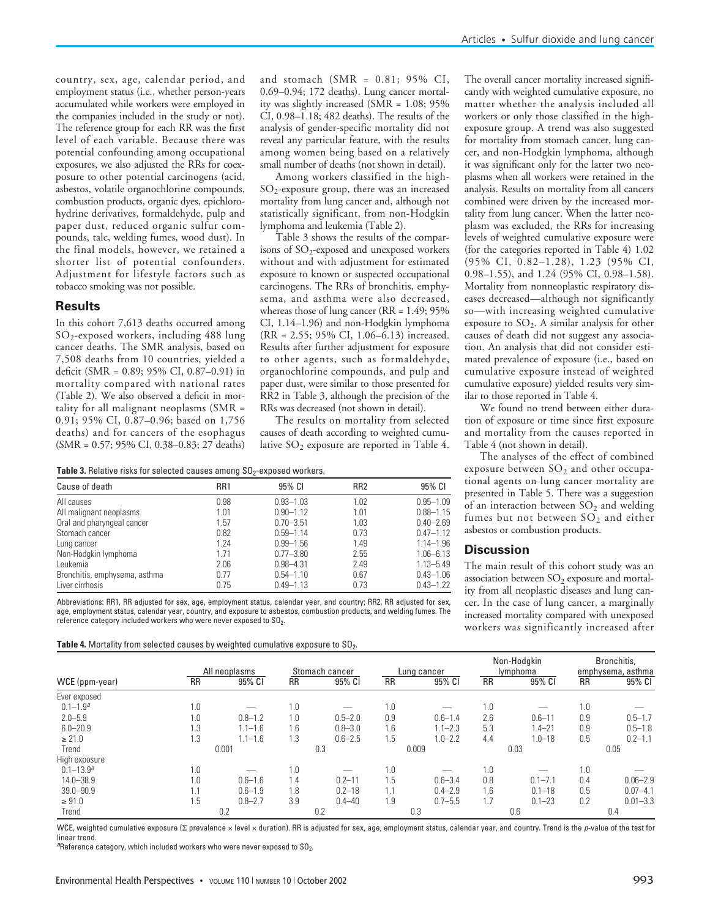The overall cancer mortality increased significantly with weighted cumulative exposure, no

country, sex, age, calendar period, and employment status (i.e., whether person-years accumulated while workers were employed in the companies included in the study or not). The reference group for each RR was the first level of each variable. Because there was potential confounding among occupational exposures, we also adjusted the RRs for coexposure to other potential carcinogens (acid, asbestos, volatile organochlorine compounds, combustion products, organic dyes, epichlorohydrine derivatives, formaldehyde, pulp and paper dust, reduced organic sulfur compounds, talc, welding fumes, wood dust). In the final models, however, we retained a shorter list of potential confounders. Adjustment for lifestyle factors such as tobacco smoking was not possible.

### **Results**

In this cohort 7,613 deaths occurred among  $SO_2$ -exposed workers, including 488 lung cancer deaths. The SMR analysis, based on 7,508 deaths from 10 countries, yielded a deficit (SMR = 0.89; 95% CI, 0.87–0.91) in mortality compared with national rates (Table 2). We also observed a deficit in mortality for all malignant neoplasms (SMR = 0.91; 95% CI, 0.87–0.96; based on 1,756 deaths) and for cancers of the esophagus (SMR = 0.57; 95% CI, 0.38–0.83; 27 deaths)

and stomach  $(SMR = 0.81; 95\% \text{ CI},$ 0.69–0.94; 172 deaths). Lung cancer mortality was slightly increased (SMR = 1.08; 95% CI, 0.98–1.18; 482 deaths). The results of the analysis of gender-specific mortality did not reveal any particular feature, with the results among women being based on a relatively small number of deaths (not shown in detail).

Among workers classified in the high- $SO_2$ -exposure group, there was an increased mortality from lung cancer and, although not statistically significant, from non-Hodgkin lymphoma and leukemia (Table 2).

Table 3 shows the results of the comparisons of  $SO_2$ -exposed and unexposed workers without and with adjustment for estimated exposure to known or suspected occupational carcinogens. The RRs of bronchitis, emphysema, and asthma were also decreased, whereas those of lung cancer (RR = 1.49; 95%) CI, 1.14–1.96) and non-Hodgkin lymphoma (RR = 2.55; 95% CI, 1.06–6.13) increased. Results after further adjustment for exposure to other agents, such as formaldehyde, organochlorine compounds, and pulp and paper dust, were similar to those presented for RR2 in Table 3, although the precision of the RRs was decreased (not shown in detail).

The results on mortality from selected causes of death according to weighted cumulative  $SO_2$  exposure are reported in Table 4.

Table 3. Relative risks for selected causes among SO<sub>2</sub>-exposed workers.

| Cause of death                | RR <sub>1</sub> | 95% CI        | RR <sub>2</sub> | 95% CI        |
|-------------------------------|-----------------|---------------|-----------------|---------------|
| All causes                    | 0.98            | $0.93 - 1.03$ | 1.02            | $0.95 - 1.09$ |
| All malignant neoplasms       | 1.01            | $0.90 - 1.12$ | 1.01            | $0.88 - 1.15$ |
| Oral and pharyngeal cancer    | 1.57            | $0.70 - 3.51$ | 1.03            | $0.40 - 2.69$ |
| Stomach cancer                | 0.82            | $0.59 - 1.14$ | 0.73            | $0.47 - 1.12$ |
| Lung cancer                   | 1.24            | $0.99 - 1.56$ | 1.49            | $1.14 - 1.96$ |
| Non-Hodgkin lymphoma          | 1.71            | $0.77 - 3.80$ | 2.55            | $1.06 - 6.13$ |
| Leukemia                      | 2.06            | $0.98 - 4.31$ | 2.49            | $1.13 - 5.49$ |
| Bronchitis, emphysema, asthma | 0.77            | $0.54 - 1.10$ | 0.67            | $0.43 - 1.06$ |
| Liver cirrhosis               | 0.75            | $0.49 - 1.13$ | 0.73            | $0.43 - 1.22$ |
|                               |                 |               |                 |               |

Abbreviations: RR1, RR adjusted for sex, age, employment status, calendar year, and country; RR2, RR adjusted for sex, age, employment status, calendar year, country, and exposure to asbestos, combustion products, and welding fumes. The reference category included workers who were never exposed to SO<sub>2</sub>.

matter whether the analysis included all workers or only those classified in the highexposure group. A trend was also suggested for mortality from stomach cancer, lung cancer, and non-Hodgkin lymphoma, although it was significant only for the latter two neoplasms when all workers were retained in the analysis. Results on mortality from all cancers combined were driven by the increased mortality from lung cancer. When the latter neoplasm was excluded, the RRs for increasing levels of weighted cumulative exposure were (for the categories reported in Table 4) 1.02 (95% CI, 0.82–1.28), 1.23 (95% CI, 0.98–1.55), and 1.24 (95% CI, 0.98–1.58). Mortality from nonneoplastic respiratory diseases decreased—although not significantly so—with increasing weighted cumulative exposure to  $SO_2$ . A similar analysis for other causes of death did not suggest any association. An analysis that did not consider estimated prevalence of exposure (i.e., based on cumulative exposure instead of weighted cumulative exposure) yielded results very similar to those reported in Table 4.

We found no trend between either duration of exposure or time since first exposure and mortality from the causes reported in Table 4 (not shown in detail).

The analyses of the effect of combined exposure between  $SO_2$  and other occupational agents on lung cancer mortality are presented in Table 5. There was a suggestion of an interaction between  $SO_2$  and welding fumes but not between  $SO_2$  and either asbestos or combustion products.

#### **Discussion**

The main result of this cohort study was an association between  $SO<sub>2</sub>$  exposure and mortality from all neoplastic diseases and lung cancer. In the case of lung cancer, a marginally increased mortality compared with unexposed workers was significantly increased after

| Table 4. Mortality from selected causes by weighted cumulative exposure to SO <sub>2</sub> . |  |  |
|----------------------------------------------------------------------------------------------|--|--|
|----------------------------------------------------------------------------------------------|--|--|

|                      | All neoplasms |             | Stomach cancer |             | Lung cancer |             | Non-Hodgkin<br>Ivmphoma |             | Bronchitis,<br>emphysema, asthma |              |
|----------------------|---------------|-------------|----------------|-------------|-------------|-------------|-------------------------|-------------|----------------------------------|--------------|
| WCE (ppm-year)       | <b>RR</b>     | 95% CI      | <b>RR</b>      | 95% CI      | <b>RR</b>   | 95% CI      | <b>RR</b>               | 95% CI      | <b>RR</b>                        | 95% CI       |
| Ever exposed         |               |             |                |             |             |             |                         |             |                                  |              |
| $0.1 - 1.9a$         | 1.0           | _           | 1.0            |             | 1.0         |             | 1.0                     |             | 1.0                              |              |
| $2.0 - 5.9$          | 1.0           | $0.8 - 1.2$ | 1.0            | $0.5 - 2.0$ | 0.9         | $0.6 - 1.4$ | 2.6                     | $0.6 - 11$  | 0.9                              | $0.5 - 1.7$  |
| $6.0 - 20.9$         | 1.3           | $1.1 - 1.6$ | 1.6            | $0.8 - 3.0$ | 1.6         | $1.1 - 2.3$ | 5.3                     | $-4 - 21$   | 0.9                              | $0.5 - 1.8$  |
| $\geq 21.0$          | 1.3           | $1.1 - 1.6$ | 1.3            | $0.6 - 2.5$ | 1.5         | $1.0 - 2.2$ | 4.4                     | $1.0 - 18$  | 0.5                              | $0.2 - 1.1$  |
| Trend                |               | 0.001       |                | 0.3         |             | 0.009       |                         | 0.03        |                                  | 0.05         |
| High exposure        |               |             |                |             |             |             |                         |             |                                  |              |
| $0.1 - 13.9^{\circ}$ | 1.0           |             | 1.0            |             | 1.0         |             | 1.0                     |             | 1.0                              |              |
| $14.0 - 38.9$        | 1.0           | $0.6 - 1.6$ | 1.4            | $0.2 - 11$  | 1.5         | $0.6 - 3.4$ | 0.8                     | $0.1 - 7.1$ | 0.4                              | $0.06 - 2.9$ |
| $39.0 - 90.9$        | 1.1           | $0.6 - 1.9$ | 1.8            | $0.2 - 18$  | 1.1         | $0.4 - 2.9$ | 1.6                     | $0.1 - 18$  | 0.5                              | $0.07 - 4.1$ |
| $\geq 91.0$          | 1.5           | $0.8 - 2.7$ | 3.9            | $0.4 - 40$  | 1.9         | $0.7 - 5.5$ | 1.7                     | $0.1 - 23$  | 0.2                              | $0.01 - 3.3$ |
| Trend                |               | 0.2         |                | 0.2         |             | 0.3         |                         | 0.6         |                                  | 0.4          |

WCE, weighted cumulative exposure (Σ prevalence × level × duration). RR is adjusted for sex, age, employment status, calendar year, and country. Trend is the *p*-value of the test for linear trend.

<sup>a</sup>Reference category, which included workers who were never exposed to SO<sub>2</sub>.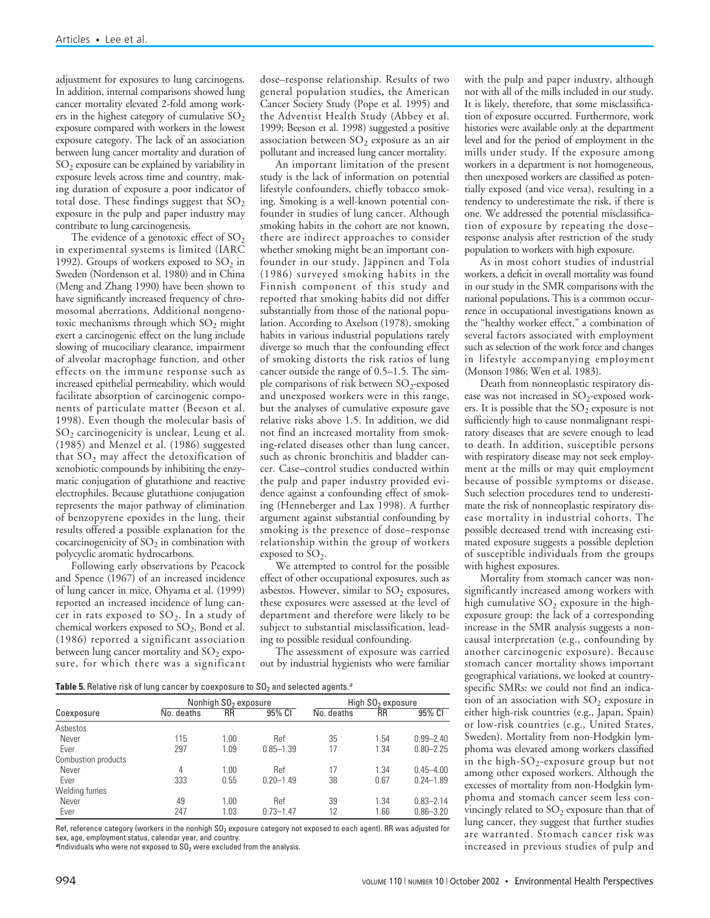adjustment for exposures to lung carcinogens. In addition, internal comparisons showed lung cancer mortality elevated 2-fold among workers in the highest category of cumulative  $SO<sub>2</sub>$ exposure compared with workers in the lowest exposure category. The lack of an association between lung cancer mortality and duration of  $SO<sub>2</sub>$  exposure can be explained by variability in exposure levels across time and country, making duration of exposure a poor indicator of total dose. These findings suggest that  $SO<sub>2</sub>$ exposure in the pulp and paper industry may contribute to lung carcinogenesis.

The evidence of a genotoxic effect of  $SO<sub>2</sub>$ in experimental systems is limited (IARC 1992). Groups of workers exposed to  $SO_2$  in Sweden (Nordenson et al. 1980) and in China (Meng and Zhang 1990) have been shown to have significantly increased frequency of chromosomal aberrations. Additional nongenotoxic mechanisms through which  $SO_2$  might exert a carcinogenic effect on the lung include slowing of mucociliary clearance, impairment of alveolar macrophage function, and other effects on the immune response such as increased epithelial permeability, which would facilitate absorption of carcinogenic components of particulate matter (Beeson et al. 1998). Even though the molecular basis of SO2 carcinogenicity is unclear, Leung et al. (1985) and Menzel et al. (1986) suggested that  $SO_2$  may affect the detoxification of xenobiotic compounds by inhibiting the enzymatic conjugation of glutathione and reactive electrophiles. Because glutathione conjugation represents the major pathway of elimination of benzopyrene epoxides in the lung, their results offered a possible explanation for the cocarcinogenicity of  $SO<sub>2</sub>$  in combination with polycyclic aromatic hydrocarbons.

Following early observations by Peacock and Spence (1967) of an increased incidence of lung cancer in mice, Ohyama et al. (1999) reported an increased incidence of lung cancer in rats exposed to  $SO_2$ . In a study of chemical workers exposed to  $SO<sub>2</sub>$ , Bond et al. (1986) reported a significant association between lung cancer mortality and  $SO<sub>2</sub>$  exposure, for which there was a significant

dose–response relationship. Results of two general population studies, the American Cancer Society Study (Pope et al. 1995) and the Adventist Health Study (Abbey et al. 1999; Beeson et al. 1998) suggested a positive association between  $SO_2$  exposure as an air pollutant and increased lung cancer mortality.

An important limitation of the present study is the lack of information on potential lifestyle confounders, chiefly tobacco smoking. Smoking is a well-known potential confounder in studies of lung cancer. Although smoking habits in the cohort are not known, there are indirect approaches to consider whether smoking might be an important confounder in our study. Jäppinen and Tola (1986) surveyed smoking habits in the Finnish component of this study and reported that smoking habits did not differ substantially from those of the national population. According to Axelson (1978), smoking habits in various industrial populations rarely diverge so much that the confounding effect of smoking distorts the risk ratios of lung cancer outside the range of 0.5–1.5. The simple comparisons of risk between  $SO_2$ -exposed and unexposed workers were in this range, but the analyses of cumulative exposure gave relative risks above 1.5. In addition, we did not find an increased mortality from smoking-related diseases other than lung cancer, such as chronic bronchitis and bladder cancer. Case–control studies conducted within the pulp and paper industry provided evidence against a confounding effect of smoking (Henneberger and Lax 1998). A further argument against substantial confounding by smoking is the presence of dose–response relationship within the group of workers exposed to  $SO<sub>2</sub>$ .

We attempted to control for the possible effect of other occupational exposures, such as asbestos. However, similar to  $SO<sub>2</sub>$  exposures, these exposures were assessed at the level of department and therefore were likely to be subject to substantial misclassification, leading to possible residual confounding.

The assessment of exposure was carried out by industrial hygienists who were familiar

Table 5. Relative risk of lung cancer by coexposure to SO<sub>2</sub> and selected agents.<sup>a</sup>

|                     |            | Nonhigh SO <sub>2</sub> exposure |               | High SO <sub>2</sub> exposure |           |               |  |
|---------------------|------------|----------------------------------|---------------|-------------------------------|-----------|---------------|--|
| Coexposure          | No. deaths | <b>RR</b>                        | 95% CI        | No. deaths                    | <b>RR</b> | 95% CI        |  |
| Asbestos            |            |                                  |               |                               |           |               |  |
| Never               | 115        | 1.00                             | Ref           | 35                            | 1.54      | $0.99 - 2.40$ |  |
| Ever                | 297        | 1.09                             | $0.85 - 1.39$ | 17                            | 1.34      | $0.80 - 2.25$ |  |
| Combustion products |            |                                  |               |                               |           |               |  |
| Never               | 4          | 1.00                             | Ref           | 17                            | 1.34      | $0.45 - 4.00$ |  |
| Ever                | 333        | 0.55                             | $0.20 - 1.49$ | 38                            | 0.67      | $0.24 - 1.89$ |  |
| Welding fumes       |            |                                  |               |                               |           |               |  |
| Never               | 49         | 1.00                             | Ref           | 39                            | 1.34      | $0.83 - 2.14$ |  |
| Ever                | 247        | 1.03                             | $0.73 - 1.47$ | 12                            | 1.66      | $0.86 - 3.20$ |  |

Ref, reference category (workers in the nonhigh  $SO_2$  exposure category not exposed to each agent). RR was adjusted for sex, age, employment status, calendar year, and country.

<sup>a</sup>Individuals who were not exposed to SO<sub>2</sub> were excluded from the analysis.

with the pulp and paper industry, although not with all of the mills included in our study. It is likely, therefore, that some misclassification of exposure occurred. Furthermore, work histories were available only at the department level and for the period of employment in the mills under study. If the exposure among workers in a department is not homogeneous, then unexposed workers are classified as potentially exposed (and vice versa), resulting in a tendency to underestimate the risk, if there is one. We addressed the potential misclassification of exposure by repeating the dose– response analysis after restriction of the study population to workers with high exposure.

As in most cohort studies of industrial workers, a deficit in overall mortality was found in our study in the SMR comparisons with the national populations. This is a common occurrence in occupational investigations known as the "healthy worker effect," a combination of several factors associated with employment such as selection of the work force and changes in lifestyle accompanying employment (Monson 1986; Wen et al. 1983).

Death from nonneoplastic respiratory disease was not increased in  $SO_2$ -exposed workers. It is possible that the  $SO_2$  exposure is not sufficiently high to cause nonmalignant respiratory diseases that are severe enough to lead to death. In addition, susceptible persons with respiratory disease may not seek employment at the mills or may quit employment because of possible symptoms or disease. Such selection procedures tend to underestimate the risk of nonneoplastic respiratory disease mortality in industrial cohorts. The possible decreased trend with increasing estimated exposure suggests a possible depletion of susceptible individuals from the groups with highest exposures.

Mortality from stomach cancer was nonsignificantly increased among workers with high cumulative  $SO_2$  exposure in the highexposure group: the lack of a corresponding increase in the SMR analysis suggests a noncausal interpretation (e.g., confounding by another carcinogenic exposure). Because stomach cancer mortality shows important geographical variations, we looked at countryspecific SMRs: we could not find an indication of an association with  $SO<sub>2</sub>$  exposure in either high-risk countries (e.g., Japan, Spain) or low-risk countries (e.g., United States, Sweden). Mortality from non-Hodgkin lymphoma was elevated among workers classified in the high- $SO_2$ -exposure group but not among other exposed workers. Although the excesses of mortality from non-Hodgkin lymphoma and stomach cancer seem less convincingly related to  $SO_2$  exposure than that of lung cancer, they suggest that further studies are warranted. Stomach cancer risk was increased in previous studies of pulp and